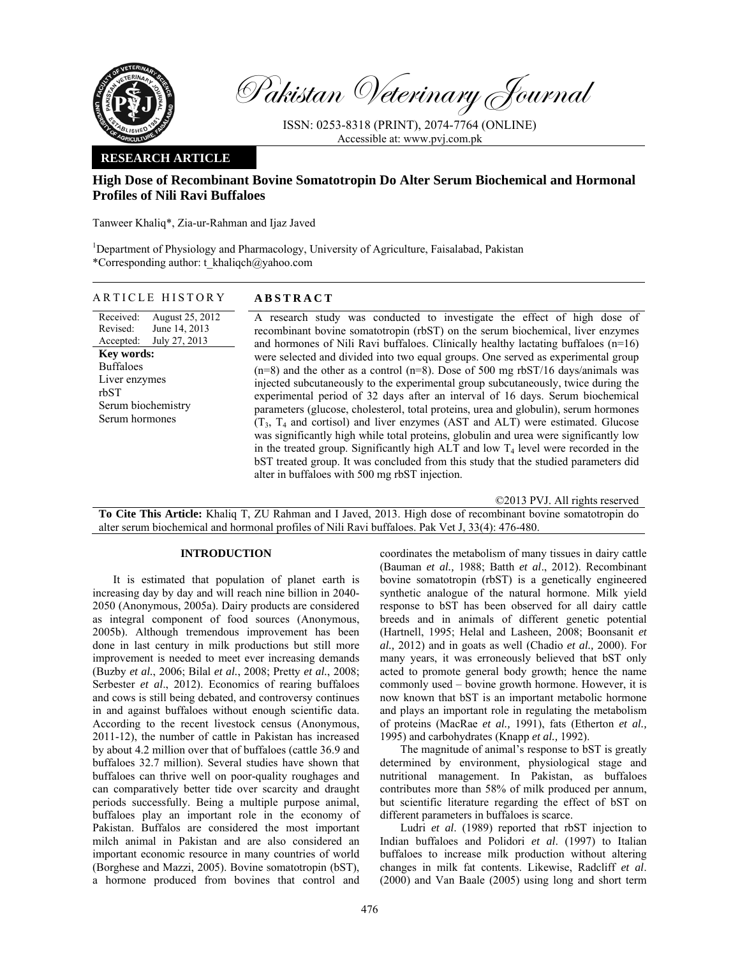

Pakistan Veterinary Journal

ISSN: 0253-8318 (PRINT), 2074-7764 (ONLINE) Accessible at: www.pvj.com.pk

### **RESEARCH ARTICLE**

# **High Dose of Recombinant Bovine Somatotropin Do Alter Serum Biochemical and Hormonal Profiles of Nili Ravi Buffaloes**

Tanweer Khaliq\*, Zia-ur-Rahman and Ijaz Javed

<sup>1</sup>Department of Physiology and Pharmacology, University of Agriculture, Faisalabad, Pakistan \*Corresponding author: t\_khaliqch@yahoo.com

| ARTICLE HISTORY                                                                                                                                                                                   | <b>ABSTRACT</b>                                                                                                                                                                                                                                                                                                                                                                                                                                                                                                                                                                                                                                                                                                                                                                                                                                                                                                                                                                                                                                                                                                 |
|---------------------------------------------------------------------------------------------------------------------------------------------------------------------------------------------------|-----------------------------------------------------------------------------------------------------------------------------------------------------------------------------------------------------------------------------------------------------------------------------------------------------------------------------------------------------------------------------------------------------------------------------------------------------------------------------------------------------------------------------------------------------------------------------------------------------------------------------------------------------------------------------------------------------------------------------------------------------------------------------------------------------------------------------------------------------------------------------------------------------------------------------------------------------------------------------------------------------------------------------------------------------------------------------------------------------------------|
| Received:<br>August 25, 2012<br>June 14, 2013<br>Revised:<br>July 27, 2013<br>Accepted:<br><b>Key words:</b><br><b>Buffaloes</b><br>Liver enzymes<br>rbST<br>Serum biochemistry<br>Serum hormones | A research study was conducted to investigate the effect of high dose of<br>recombinant bovine somatotropin (rbST) on the serum biochemical, liver enzymes<br>and hormones of Nili Ravi buffaloes. Clinically healthy lactating buffaloes $(n=16)$<br>were selected and divided into two equal groups. One served as experimental group<br>$(n=8)$ and the other as a control $(n=8)$ . Dose of 500 mg rbST/16 days/animals was<br>injected subcutaneously to the experimental group subcutaneously, twice during the<br>experimental period of 32 days after an interval of 16 days. Serum biochemical<br>parameters (glucose, cholesterol, total proteins, urea and globulin), serum hormones<br>$(T_3, T_4$ and cortisol) and liver enzymes (AST and ALT) were estimated. Glucose<br>was significantly high while total proteins, globulin and urea were significantly low<br>in the treated group. Significantly high ALT and low $T_4$ level were recorded in the<br>bST treated group. It was concluded from this study that the studied parameters did<br>alter in buffaloes with 500 mg rbST injection. |

©2013 PVJ. All rights reserved

**To Cite This Article:** Khaliq T, ZU Rahman and I Javed, 2013. High dose of recombinant bovine somatotropin do alter serum biochemical and hormonal profiles of Nili Ravi buffaloes. Pak Vet J, 33(4): 476-480.

## **INTRODUCTION**

It is estimated that population of planet earth is increasing day by day and will reach nine billion in 2040- 2050 (Anonymous, 2005a). Dairy products are considered as integral component of food sources (Anonymous, 2005b). Although tremendous improvement has been done in last century in milk productions but still more improvement is needed to meet ever increasing demands (Buzby *et al.*, 2006; Bilal *et al.*, 2008; Pretty *et al.*, 2008; Serbester *et al.*, 2012). Economics of rearing buffaloes and cows is still being debated, and controversy continues in and against buffaloes without enough scientific data. According to the recent livestock census (Anonymous, 2011-12), the number of cattle in Pakistan has increased by about 4.2 million over that of buffaloes (cattle 36.9 and buffaloes 32.7 million). Several studies have shown that buffaloes can thrive well on poor-quality roughages and can comparatively better tide over scarcity and draught periods successfully. Being a multiple purpose animal, buffaloes play an important role in the economy of Pakistan. Buffalos are considered the most important milch animal in Pakistan and are also considered an important economic resource in many countries of world (Borghese and Mazzi, 2005). Bovine somatotropin (bST), a hormone produced from bovines that control and

coordinates the metabolism of many tissues in dairy cattle (Bauman *et al.,* 1988; Batth *et al*., 2012). Recombinant bovine somatotropin (rbST) is a genetically engineered synthetic analogue of the natural hormone. Milk yield response to bST has been observed for all dairy cattle breeds and in animals of different genetic potential (Hartnell, 1995; Helal and Lasheen, 2008; Boonsanit *et al.,* 2012) and in goats as well (Chadio *et al.,* 2000). For many years, it was erroneously believed that bST only acted to promote general body growth; hence the name commonly used – bovine growth hormone. However, it is now known that bST is an important metabolic hormone and plays an important role in regulating the metabolism of proteins (MacRae *et al.,* 1991), fats (Etherton *et al.,* 1995) and carbohydrates (Knapp *et al.,* 1992).

The magnitude of animal's response to bST is greatly determined by environment, physiological stage and nutritional management. In Pakistan, as buffaloes contributes more than 58% of milk produced per annum, but scientific literature regarding the effect of bST on different parameters in buffaloes is scarce.

Ludri *et al*. (1989) reported that rbST injection to Indian buffaloes and Polidori *et al*. (1997) to Italian buffaloes to increase milk production without altering changes in milk fat contents. Likewise, Radcliff *et al*. (2000) and Van Baale (2005) using long and short term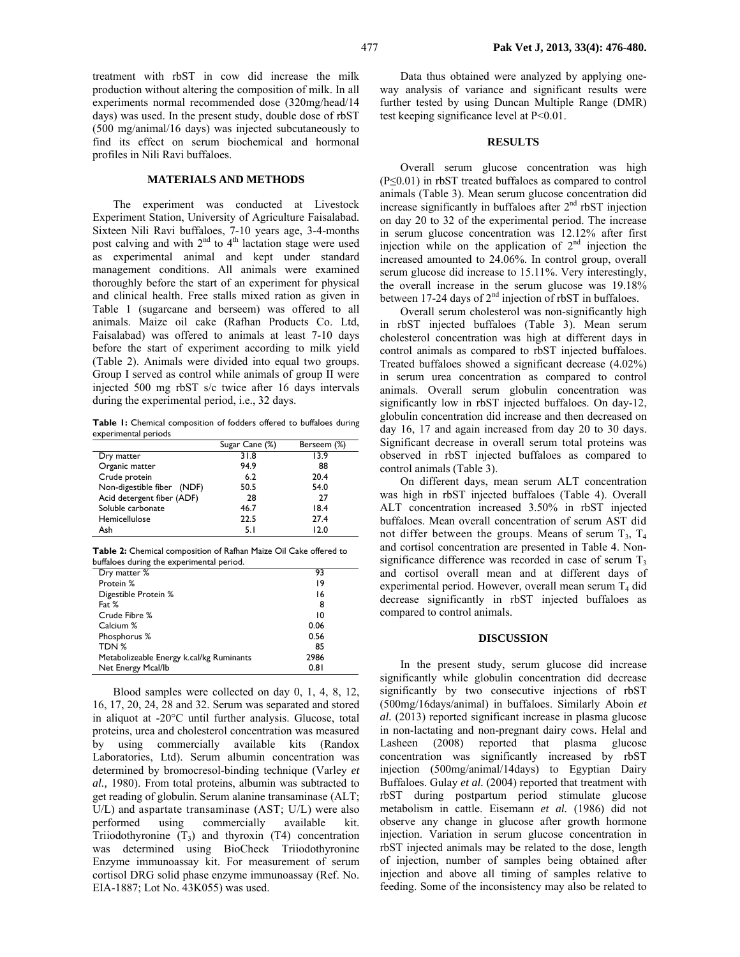treatment with rbST in cow did increase the milk production without altering the composition of milk. In all experiments normal recommended dose (320mg/head/14 days) was used. In the present study, double dose of rbST (500 mg/animal/16 days) was injected subcutaneously to find its effect on serum biochemical and hormonal profiles in Nili Ravi buffaloes.

#### **MATERIALS AND METHODS**

The experiment was conducted at Livestock Experiment Station, University of Agriculture Faisalabad. Sixteen Nili Ravi buffaloes, 7-10 years age, 3-4-months post calving and with  $2<sup>nd</sup>$  to  $4<sup>th</sup>$  lactation stage were used as experimental animal and kept under standard management conditions. All animals were examined thoroughly before the start of an experiment for physical and clinical health. Free stalls mixed ration as given in Table 1 (sugarcane and berseem) was offered to all animals. Maize oil cake (Rafhan Products Co. Ltd, Faisalabad) was offered to animals at least 7-10 days before the start of experiment according to milk yield (Table 2). Animals were divided into equal two groups. Group I served as control while animals of group II were injected 500 mg rbST s/c twice after 16 days intervals during the experimental period, i.e., 32 days.

**Table 1:** Chemical composition of fodders offered to buffaloes during experimental periods

|                            | Sugar Cane (%) | Berseem (%) |
|----------------------------|----------------|-------------|
| Dry matter                 | 31.8           | 13.9        |
| Organic matter             | 94.9           | 88          |
| Crude protein              | 6.2            | 20.4        |
| Non-digestible fiber (NDF) | 50.5           | 54.0        |
| Acid detergent fiber (ADF) | 28             | 27          |
| Soluble carbonate          | 46.7           | 18.4        |
| Hemicellulose              | 22.5           | 27.4        |
| Ash                        | 5.1            | 12.0        |

**Table 2:** Chemical composition of Rafhan Maize Oil Cake offered to buffaloes during the experimental period.

| Dry matter %                             | 93   |
|------------------------------------------|------|
| Protein %                                | 19   |
| Digestible Protein %                     | 16   |
| Fat $%$                                  | 8    |
| Crude Fibre %                            | 10   |
| Calcium %                                | 0.06 |
| Phosphorus %                             | 0.56 |
| TDN %                                    | 85   |
| Metabolizeable Energy k.cal/kg Ruminants | 2986 |
| Net Energy Mcal/lb                       | 0.81 |

Blood samples were collected on day 0, 1, 4, 8, 12, 16, 17, 20, 24, 28 and 32. Serum was separated and stored in aliquot at -20°C until further analysis. Glucose, total proteins, urea and cholesterol concentration was measured by using commercially available kits (Randox Laboratories, Ltd). Serum albumin concentration was determined by bromocresol-binding technique (Varley *et al.,* 1980). From total proteins, albumin was subtracted to get reading of globulin. Serum alanine transaminase (ALT; U/L) and aspartate transaminase (AST; U/L) were also performed using commercially available kit. Triiodothyronine  $(T_3)$  and thyroxin  $(T_4)$  concentration was determined using BioCheck Triiodothyronine Enzyme immunoassay kit. For measurement of serum cortisol DRG solid phase enzyme immunoassay (Ref. No. EIA-1887; Lot No. 43K055) was used.

Data thus obtained were analyzed by applying oneway analysis of variance and significant results were further tested by using Duncan Multiple Range (DMR) test keeping significance level at P<0.01.

#### **RESULTS**

Overall serum glucose concentration was high (P≤0.01) in rbST treated buffaloes as compared to control animals (Table 3). Mean serum glucose concentration did increase significantly in buffaloes after  $2<sup>nd</sup>$  rbST injection on day 20 to 32 of the experimental period. The increase in serum glucose concentration was 12.12% after first injection while on the application of  $2<sup>nd</sup>$  injection the increased amounted to 24.06%. In control group, overall serum glucose did increase to 15.11%. Very interestingly, the overall increase in the serum glucose was 19.18% between 17-24 days of 2<sup>nd</sup> injection of rbST in buffaloes.

Overall serum cholesterol was non-significantly high in rbST injected buffaloes (Table 3). Mean serum cholesterol concentration was high at different days in control animals as compared to rbST injected buffaloes. Treated buffaloes showed a significant decrease (4.02%) in serum urea concentration as compared to control animals. Overall serum globulin concentration was significantly low in rbST injected buffaloes. On day-12, globulin concentration did increase and then decreased on day 16, 17 and again increased from day 20 to 30 days. Significant decrease in overall serum total proteins was observed in rbST injected buffaloes as compared to control animals (Table 3).

On different days, mean serum ALT concentration was high in rbST injected buffaloes (Table 4). Overall ALT concentration increased 3.50% in rbST injected buffaloes. Mean overall concentration of serum AST did not differ between the groups. Means of serum  $T_3$ ,  $T_4$ and cortisol concentration are presented in Table 4. Nonsignificance difference was recorded in case of serum  $T<sub>3</sub>$ and cortisol overall mean and at different days of experimental period. However, overall mean serum  $T_4$  did decrease significantly in rbST injected buffaloes as compared to control animals.

### **DISCUSSION**

In the present study, serum glucose did increase significantly while globulin concentration did decrease significantly by two consecutive injections of rbST (500mg/16days/animal) in buffaloes. Similarly Aboin *et al.* (2013) reported significant increase in plasma glucose in non-lactating and non-pregnant dairy cows. Helal and Lasheen (2008) reported that plasma glucose concentration was significantly increased by rbST injection (500mg/animal/14days) to Egyptian Dairy Buffaloes. Gulay *et al.* (2004) reported that treatment with rbST during postpartum period stimulate glucose metabolism in cattle. Eisemann *et al.* (1986) did not observe any change in glucose after growth hormone injection. Variation in serum glucose concentration in rbST injected animals may be related to the dose, length of injection, number of samples being obtained after injection and above all timing of samples relative to feeding. Some of the inconsistency may also be related to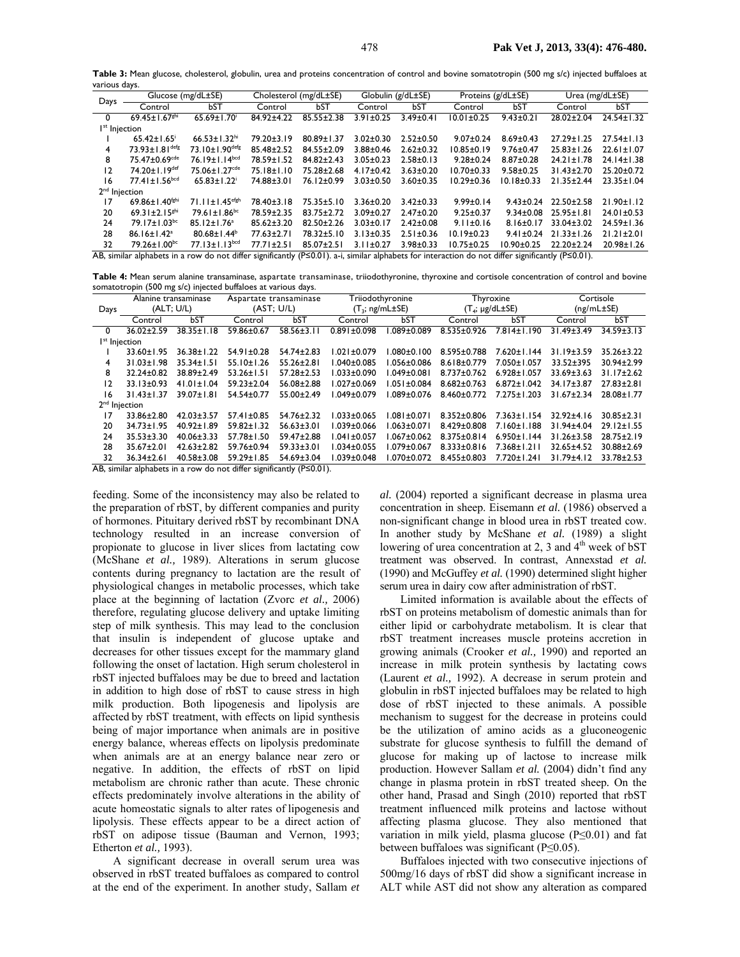**Table 3:** Mean glucose, cholesterol, globulin, urea and proteins concentration of control and bovine somatotropin (500 mg s/c) injected buffaloes at various days.

| Days                                                                                                                                                              | Glucose (mg/dL±SE)              |                                  | Cholesterol (mg/dL±SE) |                  | Globulin (g/dL±SE) |                 | Proteins (g/dL±SE) |                  | Urea $(mg/dL \pm SE)$ |                  |
|-------------------------------------------------------------------------------------------------------------------------------------------------------------------|---------------------------------|----------------------------------|------------------------|------------------|--------------------|-----------------|--------------------|------------------|-----------------------|------------------|
|                                                                                                                                                                   | Control                         | bST                              | Control                | <b>bST</b>       | Control            | bST             | Control            | bST              | Control               | <b>bST</b>       |
| $\Omega$                                                                                                                                                          | 69.45 ± $1.67$ <sup>ghi</sup>   | $65.69 \pm 1.70$                 | 84.92±4.22             | $85.55 \pm 2.38$ | $3.91 \pm 0.25$    | $3.49 \pm 0.41$ | $10.01 \pm 0.25$   | $9.43 \pm 0.21$  | 28.02±2.04            | $24.54 \pm 1.32$ |
| I <sup>st</sup> Injection                                                                                                                                         |                                 |                                  |                        |                  |                    |                 |                    |                  |                       |                  |
|                                                                                                                                                                   | $65.42 \pm 1.65$                | $66.53 \pm 1.32$ <sup>hi</sup>   | 79.20±3.19             | $80.89 \pm 1.37$ | $3.02 \pm 0.30$    | $2.52 \pm 0.50$ | $9.07 \pm 0.24$    | $8.69 \pm 0.43$  | $27.29 \pm 1.25$      | $27.54 \pm 1.13$ |
| 4                                                                                                                                                                 | $73.93 + 1.81$ <sup>defg</sup>  | $73.10 \pm 1.90$ <sup>defg</sup> | 85.48±2.52             | $84.55 \pm 2.09$ | $3.88 \pm 0.46$    | $2.62 \pm 0.32$ | $10.85 \pm 0.19$   | $9.76 \pm 0.47$  | $25.83 \pm 1.26$      | $22.61 \pm 1.07$ |
| 8                                                                                                                                                                 | 75.47±0.69 <sup>cde</sup>       | $76.19 \pm 1.14$ <sub>bcd</sub>  | 78.59±1.52             | $84.82 \pm 2.43$ | $3.05 \pm 0.23$    | $2.58 \pm 0.13$ | $9.28 \pm 0.24$    | $8.87 \pm 0.28$  | $24.21 \pm 1.78$      | $24.14 \pm 1.38$ |
| 12                                                                                                                                                                | 74.20±1.19 <sup>def</sup>       | 75.06±1.27 <sup>cde</sup>        | 75.18±1.10             | 75.28±2.68       | $4.17 \pm 0.42$    | $3.63 \pm 0.20$ | $10.70 \pm 0.33$   | $9.58 \pm 0.25$  | $31.43 \pm 2.70$      | $25.20 \pm 0.72$ |
| 16                                                                                                                                                                | $77.41 \pm 1.56$ <sup>bcd</sup> | $65.83 \pm 1.22$                 | 74.88±3.01             | 76.12±0.99       | $3.03 \pm 0.50$    | $3.60 \pm 0.35$ | $10.29 \pm 0.36$   | $10.18 \pm 0.33$ | $21.35 \pm 2.44$      | $23.35 \pm 1.04$ |
| 2 <sup>nd</sup> Injection                                                                                                                                         |                                 |                                  |                        |                  |                    |                 |                    |                  |                       |                  |
| 17                                                                                                                                                                | 69.86±1.40 <sup>fghi</sup>      | $71.11 \pm 1.45$ <sup>efgh</sup> | 78.40±3.18             | $75.35 \pm 5.10$ | $3.36 \pm 0.20$    | $3.42 \pm 0.33$ | $9.99 \pm 0.14$    | $9.43 \pm 0.24$  | 22.50±2.58            | $21.90 \pm 1.12$ |
| 20                                                                                                                                                                | 69.31 $\pm$ 2.15 <sup>ghi</sup> | $79.61 \pm 1.86$ <sup>bc</sup>   | 78.59±2.35             | $83.75 \pm 2.72$ | $3.09 \pm 0.27$    | $2.47 \pm 0.20$ | $9.25 \pm 0.37$    | $9.34 \pm 0.08$  | $25.95 \pm 1.81$      | $24.01 \pm 0.53$ |
| 24                                                                                                                                                                | $79.17 \pm 1.03$ <sup>bc</sup>  | $85.12 \pm 1.76^a$               | $85.62 \pm 3.20$       | $82.50 \pm 2.26$ | $3.03 \pm 0.17$    | $2.42 \pm 0.08$ | $9.11 \pm 0.16$    | $8.16 \pm 0.17$  | $33.04 \pm 3.02$      | $24.59 \pm 1.36$ |
| 28                                                                                                                                                                | $86.16 \pm 1.42$ <sup>a</sup>   | $80.68 \pm 1.44^b$               | 77.63±2.71             | 78.32±5.10       | $3.13 \pm 0.35$    | $2.51 \pm 0.36$ | $10.19 \pm 0.23$   | $9.41 \pm 0.24$  | $21.33 \pm 1.26$      | $21.21 \pm 2.01$ |
| 32                                                                                                                                                                | $79.26 \pm 1.00$ <sup>bc</sup>  | $77.13 \pm 1.13$ <sub>bcd</sub>  | $77.71 \pm 2.51$       | 85.07±2.51       | $3.11 \pm 0.27$    | $3.98 \pm 0.33$ | $10.75 \pm 0.25$   | $10.90 \pm 0.25$ | $22.20 \pm 2.24$      | 20.98±1.26       |
| AB, similar alphabets in a row do not differ significantly ( $P \le 0.01$ ). a-i, similar alphabets for interaction do not differ significantly ( $P \le 0.01$ ). |                                 |                                  |                        |                  |                    |                 |                    |                  |                       |                  |

**Table 4:** Mean serum alanine transaminase, aspartate transaminase, triiodothyronine, thyroxine and cortisole concentration of control and bovine somatotropin (500 mg s/c) injected buffaloes at various days.

|                           | Alanine transaminase                                |                  | Aspartate transaminase |                  | Triiodothyronine     |                   | Thyroxine                |                   | Cortisole        |                  |
|---------------------------|-----------------------------------------------------|------------------|------------------------|------------------|----------------------|-------------------|--------------------------|-------------------|------------------|------------------|
| Days                      | (ALT; U/L)                                          |                  | (AST; U/L)             |                  | $(T_3; ng/mL\pm SE)$ |                   | $(T_4; \mu g/dL \pm SE)$ |                   | (ng/mL±SE)       |                  |
|                           | Control                                             | bST              | Control                | bST              | Control              | bST               | Control                  | bST               | Control          | <b>bST</b>       |
| $\Omega$                  | $36.02 \pm 2.59$                                    | $38.35 \pm 1.18$ | 59.86±0.67             | $58.56 \pm 3.11$ | $0.891 \pm 0.098$    | $.089 \pm 0.089$  | $8.535 \pm 0.926$        | $7.814 \pm 1.190$ | $31.49 \pm 3.49$ | $34.59 \pm 3.13$ |
| I <sup>st</sup> Injection |                                                     |                  |                        |                  |                      |                   |                          |                   |                  |                  |
|                           | $33.60 \pm 1.95$                                    | $36.38 \pm 1.22$ | $54.91 \pm 0.28$       | 54.74±2.83       | $1.021 \pm 0.079$    | $.080 \pm 0.100$  | $8.595 \pm 0.788$        | 7.620±1.144       | $31.19 \pm 3.59$ | $35.26 \pm 3.22$ |
| 4                         | $31.03 \pm 1.98$                                    | $35.34 \pm 1.51$ | $55.10 \pm 1.26$       | $55.26 \pm 2.81$ | $1.040 \pm 0.085$    | l.056±0.086       | $8.618 \pm 0.779$        | $7.050 \pm 1.057$ | 33.52±395        | 30.94±2.99       |
| 8                         | $32.24 \pm 0.82$                                    | $38.89 \pm 2.49$ | $53.26 \pm 1.51$       | $57.28 \pm 2.53$ | $1.033 \pm 0.090$    | $1.049 \pm 0.081$ | $8.737 \pm 0.762$        | $6.928 \pm 1.057$ | $33.69 \pm 3.63$ | $31.17 \pm 2.62$ |
| 12                        | $33.13 \pm 0.93$                                    | $41.01 \pm 1.04$ | $59.23 \pm 2.04$       | $56.08 \pm 2.88$ | $1.027 \pm 0.069$    | $1.051 \pm 0.084$ | $8.682 \pm 0.763$        | $6.872 \pm 1.042$ | $34.17 + 3.87$   | $27.83 \pm 2.81$ |
| 16                        | $31.43 \pm 1.37$                                    | $39.07 \pm 1.81$ | 54.54±0.77             | 55.00±2.49       | $1.049 \pm 0.079$    | l.089±0.076       | $8.460 \pm 0.772$        | $7.275 \pm 1.203$ | $31.67 \pm 2.34$ | 28.08±1.77       |
| 2 <sup>nd</sup> Injection |                                                     |                  |                        |                  |                      |                   |                          |                   |                  |                  |
| 17                        | 33.86±2.80                                          | $42.03 \pm 3.57$ | $57.41 \pm 0.85$       | $54.76 \pm 2.32$ | $1.033 \pm 0.065$    | $.081 \pm 0.071$  | $8.352 \pm 0.806$        | $7.363 \pm 1.154$ | $32.92 \pm 4.16$ | $30.85 \pm 2.31$ |
| 20                        | $34.73 \pm 1.95$                                    | $40.92 \pm 1.89$ | $59.82 \pm 1.32$       | $56.63 \pm 3.01$ | $1.039 \pm 0.066$    | l.063±0.071       | $8.429 \pm 0.808$        | 7.160±1.188       | 31.94±4.04       | $29.12 \pm 1.55$ |
| 24                        | $35.53 \pm 3.30$                                    | $40.06 \pm 3.33$ | 57.78±1.50             | 59.47±2.88       | $1.041 \pm 0.057$    | $1.067 \pm 0.062$ | $8.375 \pm 0.814$        | $6.950 \pm 1.144$ | $31.26 \pm 3.58$ | $28.75 \pm 2.19$ |
| 28                        | $35.67 \pm 2.01$                                    | $42.63 \pm 2.82$ | 59.76±0.94             | $59.33 \pm 3.01$ | $1.034 \pm 0.055$    | 1.079±0.067       | $8.333 \pm 0.816$        | $7.368 \pm 1.211$ | 32.65±4.52       | 30.88±2.69       |
| 32                        | $36.34 \pm 2.61$                                    | $40.58 \pm 3.08$ | $59.29 \pm 1.85$       | $54.69 \pm 3.04$ | $1.039 \pm 0.048$    | l.070±0.072       | $8.455 \pm 0.803$        | 7.720±1.241       | $31.79 \pm 4.12$ | $33.78 \pm 2.53$ |
|                           | $\cdots$<br>$\cdots$<br>$\cdots$<br>.<br>$\sqrt{2}$ |                  |                        |                  |                      |                   |                          |                   |                  |                  |

AB, similar alphabets in a row do not differ significantly (P≤0.01).

feeding. Some of the inconsistency may also be related to the preparation of rbST, by different companies and purity of hormones. Pituitary derived rbST by recombinant DNA technology resulted in an increase conversion of propionate to glucose in liver slices from lactating cow (McShane *et al.,* 1989). Alterations in serum glucose contents during pregnancy to lactation are the result of physiological changes in metabolic processes, which take place at the beginning of lactation (Zvorc *et al.,* 2006) therefore, regulating glucose delivery and uptake limiting step of milk synthesis. This may lead to the conclusion that insulin is independent of glucose uptake and decreases for other tissues except for the mammary gland following the onset of lactation. High serum cholesterol in rbST injected buffaloes may be due to breed and lactation in addition to high dose of rbST to cause stress in high milk production. Both lipogenesis and lipolysis are affected by rbST treatment, with effects on lipid synthesis being of major importance when animals are in positive energy balance, whereas effects on lipolysis predominate when animals are at an energy balance near zero or negative. In addition, the effects of rbST on lipid metabolism are chronic rather than acute. These chronic effects predominately involve alterations in the ability of acute homeostatic signals to alter rates of lipogenesis and lipolysis. These effects appear to be a direct action of rbST on adipose tissue (Bauman and Vernon, 1993; Etherton *et al.,* 1993).

A significant decrease in overall serum urea was observed in rbST treated buffaloes as compared to control at the end of the experiment. In another study, Sallam *et* 

*al.* (2004) reported a significant decrease in plasma urea concentration in sheep. Eisemann *et al.* (1986) observed a non-significant change in blood urea in rbST treated cow. In another study by McShane *et al.* (1989) a slight lowering of urea concentration at 2, 3 and  $4<sup>th</sup>$  week of bST treatment was observed. In contrast, Annexstad *et al.* (1990) and McGuffey *et al.* (1990) determined slight higher serum urea in dairy cow after administration of rbST.

Limited information is available about the effects of rbST on proteins metabolism of domestic animals than for either lipid or carbohydrate metabolism. It is clear that rbST treatment increases muscle proteins accretion in growing animals (Crooker *et al.,* 1990) and reported an increase in milk protein synthesis by lactating cows (Laurent *et al.,* 1992). A decrease in serum protein and globulin in rbST injected buffaloes may be related to high dose of rbST injected to these animals. A possible mechanism to suggest for the decrease in proteins could be the utilization of amino acids as a gluconeogenic substrate for glucose synthesis to fulfill the demand of glucose for making up of lactose to increase milk production. However Sallam *et al.* (2004) didn't find any change in plasma protein in rbST treated sheep*.* On the other hand, Prasad and Singh (2010) reported that rbST treatment influenced milk proteins and lactose without affecting plasma glucose. They also mentioned that variation in milk yield, plasma glucose (P≤0.01) and fat between buffaloes was significant (P≤0.05).

Buffaloes injected with two consecutive injections of 500mg/16 days of rbST did show a significant increase in ALT while AST did not show any alteration as compared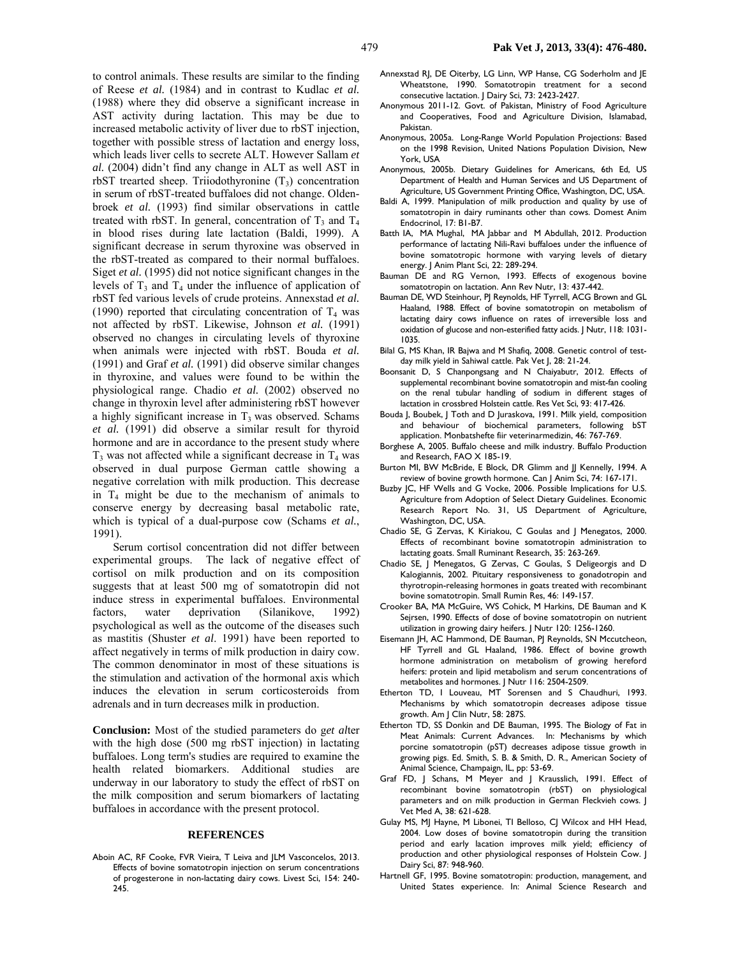to control animals. These results are similar to the finding of Reese *et al.* (1984) and in contrast to Kudlac *et al.* (1988) where they did observe a significant increase in AST activity during lactation. This may be due to increased metabolic activity of liver due to rbST injection, together with possible stress of lactation and energy loss, which leads liver cells to secrete ALT. However Sallam *et al.* (2004) didn't find any change in ALT as well AST in rbST trearted sheep. Triiodothyronine  $(T<sub>3</sub>)$  concentration in serum of rbST-treated buffaloes did not change. Oldenbroek *et al.* (1993) find similar observations in cattle treated with rbST. In general, concentration of  $T_3$  and  $T_4$ in blood rises during late lactation (Baldi, 1999). A significant decrease in serum thyroxine was observed in the rbST-treated as compared to their normal buffaloes. Siget *et al.* (1995) did not notice significant changes in the levels of  $T_3$  and  $T_4$  under the influence of application of rbST fed various levels of crude proteins. Annexstad *et al.* (1990) reported that circulating concentration of  $T_4$  was not affected by rbST. Likewise, Johnson *et al.* (1991) observed no changes in circulating levels of thyroxine when animals were injected with rbST. Bouda *et al.* (1991) and Graf *et al.* (1991) did observe similar changes in thyroxine, and values were found to be within the physiological range. Chadio *et al.* (2002) observed no change in thyroxin level after administering rbST however a highly significant increase in  $T_3$  was observed. Schams *et al.* (1991) did observe a similar result for thyroid hormone and are in accordance to the present study where  $T_3$  was not affected while a significant decrease in  $T_4$  was observed in dual purpose German cattle showing a negative correlation with milk production. This decrease in  $T_4$  might be due to the mechanism of animals to conserve energy by decreasing basal metabolic rate, which is typical of a dual-purpose cow (Schams *et al.*, 1991).

Serum cortisol concentration did not differ between experimental groups. The lack of negative effect of cortisol on milk production and on its composition suggests that at least 500 mg of somatotropin did not induce stress in experimental buffaloes. Environmental factors, water deprivation (Silanikove, 1992) psychological as well as the outcome of the diseases such as mastitis (Shuster *et al*. 1991) have been reported to affect negatively in terms of milk production in dairy cow. The common denominator in most of these situations is the stimulation and activation of the hormonal axis which induces the elevation in serum corticosteroids from adrenals and in turn decreases milk in production.

**Conclusion:** Most of the studied parameters do g*et al*ter with the high dose (500 mg rbST injection) in lactating buffaloes. Long term's studies are required to examine the health related biomarkers. Additional studies are underway in our laboratory to study the effect of rbST on the milk composition and serum biomarkers of lactating buffaloes in accordance with the present protocol.

#### **REFERENCES**

Aboin AC, RF Cooke, FVR Vieira, T Leiva and JLM Vasconcelos, 2013. Effects of bovine somatotropin injection on serum concentrations of progesterone in non-lactating dairy cows. Livest Sci, 154: 240- 245.

- Annexstad RJ, DE Oiterby, LG Linn, WP Hanse, CG Soderholm and JE Wheatstone, 1990. Somatotropin treatment for a second consecutive lactation. J Dairy Sci, 73: 2423-2427.
- Anonymous 2011-12. Govt. of Pakistan, Ministry of Food Agriculture and Cooperatives, Food and Agriculture Division, Islamabad, Pakistan.
- Anonymous, 2005a. Long-Range World Population Projections: Based on the 1998 Revision, United Nations Population Division, New York, USA
- Anonymous, 2005b. Dietary Guidelines for Americans, 6th Ed, US Department of Health and Human Services and US Department of Agriculture, US Government Printing Office, Washington, DC, USA.
- Baldi A, 1999. Manipulation of milk production and quality by use of somatotropin in dairy ruminants other than cows. Domest Anim Endocrinol, 17: B1-B7.
- Batth IA, MA Mughal, MA Jabbar and M Abdullah, 2012. Production performance of lactating Nili-Ravi buffaloes under the influence of bovine somatotropic hormone with varying levels of dietary energy. J Anim Plant Sci, 22: 289-294.
- Bauman DE and RG Vernon, 1993. Effects of exogenous bovine somatotropin on lactation. Ann Rev Nutr, 13: 437-442.
- Bauman DE, WD Steinhour, PJ Reynolds, HF Tyrrell, ACG Brown and GL Haaland, 1988. Effect of bovine somatotropin on metabolism of lactating dairy cows influence on rates of irreversible loss and oxidation of glucose and non-esterified fatty acids. J Nutr, 118: 1031- 1035.
- Bilal G, MS Khan, IR Bajwa and M Shafiq, 2008. Genetic control of testday milk yield in Sahiwal cattle. Pak Vet J, 28: 21-24.
- Boonsanit D, S Chanpongsang and N Chaiyabutr, 2012. Effects of supplemental recombinant bovine somatotropin and mist-fan cooling on the renal tubular handling of sodium in different stages of lactation in crossbred Holstein cattle. Res Vet Sci, 93: 417-426.
- Bouda J, Boubek, J Toth and D Juraskova, 1991. Milk yield, composition and behaviour of biochemical parameters, following bST application. Monbatshefte fiir veterinarmedizin, 46: 767-769.
- Borghese A, 2005. Buffalo cheese and milk industry. Buffalo Production and Research, FAO X 185-19.
- Burton MI, BW McBride, E Block, DR Glimm and JJ Kennelly, 1994. A review of bovine growth hormone. Can J Anim Sci, 74: 167-171.
- Buzby JC, HF Wells and G Vocke, 2006. Possible Implications for U.S. Agriculture from Adoption of Select Dietary Guidelines. Economic Research Report No. 31, US Department of Agriculture, Washington, DC, USA.
- Chadio SE, G Zervas, K Kiriakou, C Goulas and J Menegatos, 2000. Effects of recombinant bovine somatotropin administration to lactating goats. Small Ruminant Research, 35: 263-269.
- Chadio SE, J Menegatos, G Zervas, C Goulas, S Deligeorgis and D Kalogiannis, 2002. Pituitary responsiveness to gonadotropin and thyrotropin-releasing hormones in goats treated with recombinant bovine somatotropin. Small Rumin Res, 46: 149-157.
- Crooker BA, MA McGuire, WS Cohick, M Harkins, DE Bauman and K Sejrsen, 1990. Effects of dose of bovine somatotropin on nutrient utilization in growing dairy heifers. J Nutr 120: 1256-1260.
- Eisemann JH, AC Hammond, DE Bauman, PJ Reynolds, SN Mccutcheon, HF Tyrrell and GL Haaland, 1986. Effect of bovine growth hormone administration on metabolism of growing hereford heifers: protein and lipid metabolism and serum concentrations of metabolites and hormones. J Nutr 116: 2504-2509.
- Etherton TD, I Louveau, MT Sorensen and S Chaudhuri, 1993. Mechanisms by which somatotropin decreases adipose tissue growth. Am J Clin Nutr, 58: 287S.
- Etherton TD, SS Donkin and DE Bauman, 1995. The Biology of Fat in Meat Animals: Current Advances. In: Mechanisms by which porcine somatotropin (pST) decreases adipose tissue growth in growing pigs. Ed. Smith, S. B. & Smith, D. R., American Society of Animal Science, Champaign, IL, pp: 53-69.
- Graf FD, J Schans, M Meyer and J Krausslich, 1991. Effect of recombinant bovine somatotropin (rbST) on physiological parameters and on milk production in German Fleckvieh cows. J Vet Med A, 38: 621-628.
- Gulay MS, MJ Hayne, M Libonei, TI Belloso, CJ Wilcox and HH Head, 2004. Low doses of bovine somatotropin during the transition period and early lacation improves milk yield; efficiency of production and other physiological responses of Holstein Cow. J Dairy Sci, 87: 948-960.
- Hartnell GF, 1995. Bovine somatotropin: production, management, and United States experience. In: Animal Science Research and